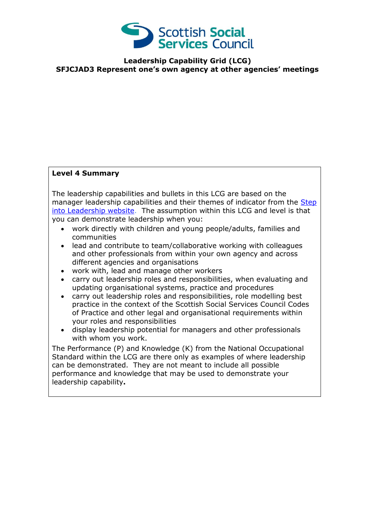

**Leadership Capability Grid (LCG) SFJCJAD3 Represent one's own agency at other agencies' meetings**

## **Level 4 Summary**

The leadership capabilities and bullets in this LCG are based on the manager leadership capabilities and their themes of indicator from the Step [into Leadership website.](http://www.stepintoleadership.info/index.html) The assumption within this LCG and level is that you can demonstrate leadership when you:

- work directly with children and young people/adults, families and communities
- lead and contribute to team/collaborative working with colleagues and other professionals from within your own agency and across different agencies and organisations
- work with, lead and manage other workers
- carry out leadership roles and responsibilities, when evaluating and updating organisational systems, practice and procedures
- carry out leadership roles and responsibilities, role modelling best practice in the context of the Scottish Social Services Council Codes of Practice and other legal and organisational requirements within your roles and responsibilities
- display leadership potential for managers and other professionals with whom you work.

The Performance (P) and Knowledge (K) from the National Occupational Standard within the LCG are there only as examples of where leadership can be demonstrated. They are not meant to include all possible performance and knowledge that may be used to demonstrate your leadership capability**.**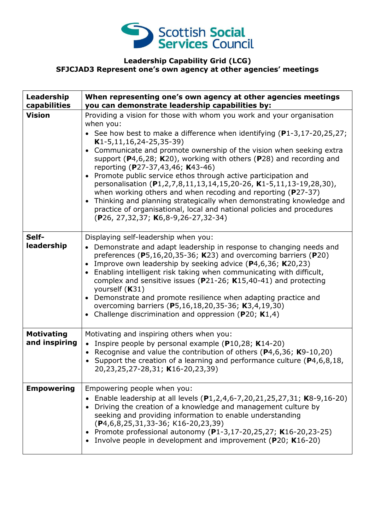

## **Leadership Capability Grid (LCG) SFJCJAD3 Represent one's own agency at other agencies' meetings**

| Leadership<br>capabilities         | When representing one's own agency at other agencies meetings<br>you can demonstrate leadership capabilities by:                                                                                                                                                                                                                                                                                                                                                                                                                                                                                                                                                                                                                                                                                                                          |
|------------------------------------|-------------------------------------------------------------------------------------------------------------------------------------------------------------------------------------------------------------------------------------------------------------------------------------------------------------------------------------------------------------------------------------------------------------------------------------------------------------------------------------------------------------------------------------------------------------------------------------------------------------------------------------------------------------------------------------------------------------------------------------------------------------------------------------------------------------------------------------------|
| <b>Vision</b>                      | Providing a vision for those with whom you work and your organisation<br>when you:<br>• See how best to make a difference when identifying $(P1-3, 17-20, 25, 27)$ ;<br>$K1-5, 11, 16, 24-25, 35-39)$<br>Communicate and promote ownership of the vision when seeking extra<br>$\bullet$<br>support ( $P$ 4,6,28; K20), working with others ( $P$ 28) and recording and<br>reporting (P27-37,43,46; K43-46)<br>Promote public service ethos through active participation and<br>$\bullet$<br>personalisation (P1,2,7,8,11,13,14,15,20-26, K1-5,11,13-19,28,30),<br>when working others and when recoding and reporting ( $P27-37$ )<br>Thinking and planning strategically when demonstrating knowledge and<br>$\bullet$<br>practice of organisational, local and national policies and procedures<br>(P26, 27,32,37; K6,8-9,26-27,32-34) |
| Self-<br>leadership                | Displaying self-leadership when you:<br>Demonstrate and adapt leadership in response to changing needs and<br>$\bullet$<br>preferences ( $P5,16,20,35-36$ ; K23) and overcoming barriers ( $P20$ )<br>Improve own leadership by seeking advice (P4,6,36; K20,23)<br>Enabling intelligent risk taking when communicating with difficult,<br>$\bullet$<br>complex and sensitive issues ( $P$ 21-26; K15,40-41) and protecting<br>yourself (K31)<br>Demonstrate and promote resilience when adapting practice and<br>overcoming barriers (P5,16,18,20,35-36; K3,4,19,30)<br>Challenge discrimination and oppression ( $P20$ ; K1,4)<br>$\bullet$                                                                                                                                                                                             |
| <b>Motivating</b><br>and inspiring | Motivating and inspiring others when you:<br>• Inspire people by personal example (P10,28; K14-20)<br>Recognise and value the contribution of others ( $P$ 4,6,36; K9-10,20)<br>$\bullet$<br>Support the creation of a learning and performance culture (P4,6,8,18,<br>20,23,25,27-28,31; K16-20,23,39)                                                                                                                                                                                                                                                                                                                                                                                                                                                                                                                                   |
| <b>Empowering</b>                  | Empowering people when you:<br>Enable leadership at all levels (P1,2,4,6-7,20,21,25,27,31; K8-9,16-20)<br>Driving the creation of a knowledge and management culture by<br>seeking and providing information to enable understanding<br>(P4,6,8,25,31,33-36; K16-20,23,39)<br>Promote professional autonomy (P1-3,17-20,25,27; K16-20,23-25)<br>Involve people in development and improvement (P20; K16-20)                                                                                                                                                                                                                                                                                                                                                                                                                               |